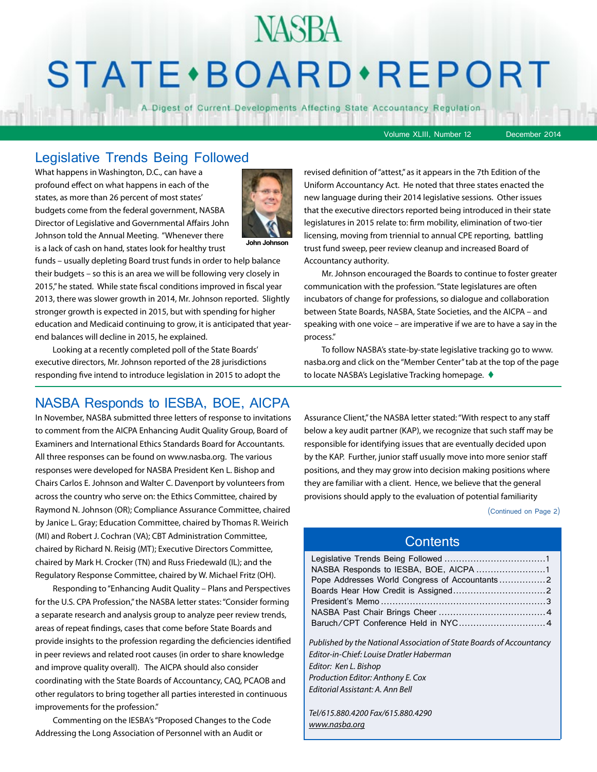# **STATE** · BOARD · REPORT

**NASBA** 

A Digest of Current Developments Affecting State Accountancy Regulation

Volume XLIII, Number 12 December 2014

#### Legislative Trends Being Followed

What happens in Washington, D.C., can have a profound effect on what happens in each of the states, as more than 26 percent of most states' budgets come from the federal government, NASBA Director of Legislative and Governmental Affairs John Johnson told the Annual Meeting. "Whenever there is a lack of cash on hand, states look for healthy trust



funds – usually depleting Board trust funds in order to help balance their budgets – so this is an area we will be following very closely in 2015," he stated. While state fiscal conditions improved in fiscal year 2013, there was slower growth in 2014, Mr. Johnson reported. Slightly stronger growth is expected in 2015, but with spending for higher education and Medicaid continuing to grow, it is anticipated that yearend balances will decline in 2015, he explained.

Looking at a recently completed poll of the State Boards' executive directors, Mr. Johnson reported of the 28 jurisdictions responding five intend to introduce legislation in 2015 to adopt the

#### NASBA Responds to IESBA, BOE, AICPA

In November, NASBA submitted three letters of response to invitations to comment from the AICPA Enhancing Audit Quality Group, Board of Examiners and International Ethics Standards Board for Accountants. All three responses can be found on www.nasba.org. The various responses were developed for NASBA President Ken L. Bishop and Chairs Carlos E. Johnson and Walter C. Davenport by volunteers from across the country who serve on: the Ethics Committee, chaired by Raymond N. Johnson (OR); Compliance Assurance Committee, chaired by Janice L. Gray; Education Committee, chaired by Thomas R. Weirich (MI) and Robert J. Cochran (VA); CBT Administration Committee, chaired by Richard N. Reisig (MT); Executive Directors Committee, chaired by Mark H. Crocker (TN) and Russ Friedewald (IL); and the Regulatory Response Committee, chaired by W. Michael Fritz (OH).

Responding to "Enhancing Audit Quality – Plans and Perspectives for the U.S. CPA Profession," the NASBA letter states: "Consider forming a separate research and analysis group to analyze peer review trends, areas of repeat findings, cases that come before State Boards and provide insights to the profession regarding the deficiencies identified in peer reviews and related root causes (in order to share knowledge and improve quality overall). The AICPA should also consider coordinating with the State Boards of Accountancy, CAQ, PCAOB and other regulators to bring together all parties interested in continuous improvements for the profession."

Commenting on the IESBA's "Proposed Changes to the Code Addressing the Long Association of Personnel with an Audit or

revised definition of "attest," as it appears in the 7th Edition of the Uniform Accountancy Act. He noted that three states enacted the new language during their 2014 legislative sessions. Other issues that the executive directors reported being introduced in their state legislatures in 2015 relate to: firm mobility, elimination of two-tier licensing, moving from triennial to annual CPE reporting, battling trust fund sweep, peer review cleanup and increased Board of Accountancy authority.

Mr. Johnson encouraged the Boards to continue to foster greater communication with the profession. "State legislatures are often incubators of change for professions, so dialogue and collaboration between State Boards, NASBA, State Societies, and the AICPA – and speaking with one voice – are imperative if we are to have a say in the process."

To follow NASBA's state-by-state legislative tracking go to www. nasba.org and click on the "Member Center" tab at the top of the page to locate NASBA's Legislative Tracking homepage.  $\blacklozenge$ 

Assurance Client," the NASBA letter stated: "With respect to any staff below a key audit partner (KAP), we recognize that such staff may be responsible for identifying issues that are eventually decided upon by the KAP. Further, junior staff usually move into more senior staff positions, and they may grow into decision making positions where they are familiar with a client. Hence, we believe that the general provisions should apply to the evaluation of potential familiarity

(Continued on Page 2)

#### **Contents**

| Published by the National Association of State Boards of Accountancy |  |
|----------------------------------------------------------------------|--|
| Editor-in-Chief: Louise Dratler Haberman                             |  |
| Editor: Ken L. Bishop                                                |  |
| Production Editor: Anthony E. Cox                                    |  |

*Editorial Assistant: A. Ann Bell* 

*Tel/615.880.4200 Fax/615.880.4290 [www.nasba.org](http://www.nasba.org)*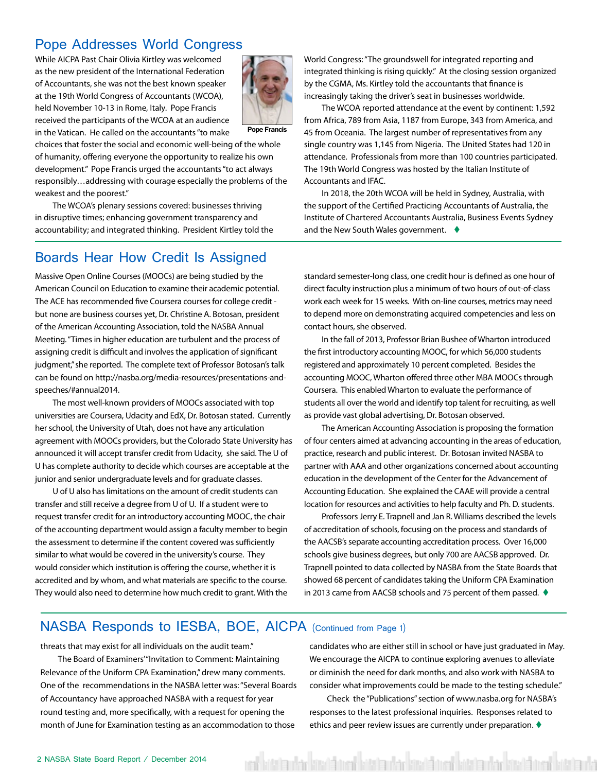#### <span id="page-1-0"></span>Pope Addresses World Congress

While AICPA Past Chair Olivia Kirtley was welcomed as the new president of the International Federation of Accountants, she was not the best known speaker at the 19th World Congress of Accountants (WCOA), held November 10-13 in Rome, Italy. Pope Francis received the participants of the WCOA at an audience

in the Vatican. He called on the accountants "to make



**Pope Francis**

choices that foster the social and economic well-being of the whole of humanity, offering everyone the opportunity to realize his own development." Pope Francis urged the accountants "to act always responsibly…addressing with courage especially the problems of the weakest and the poorest."

The WCOA's plenary sessions covered: businesses thriving in disruptive times; enhancing government transparency and accountability; and integrated thinking. President Kirtley told the

#### Boards Hear How Credit Is Assigned

Massive Open Online Courses (MOOCs) are being studied by the American Council on Education to examine their academic potential. The ACE has recommended five Coursera courses for college credit but none are business courses yet, Dr. Christine A. Botosan, president of the American Accounting Association, told the NASBA Annual Meeting. "Times in higher education are turbulent and the process of assigning credit is difficult and involves the application of significant judgment," she reported. The complete text of Professor Botosan's talk can be found on http://nasba.org/media-resources/presentations-andspeeches/#annual2014.

The most well-known providers of MOOCs associated with top universities are Coursera, Udacity and EdX, Dr. Botosan stated. Currently her school, the University of Utah, does not have any articulation agreement with MOOCs providers, but the Colorado State University has announced it will accept transfer credit from Udacity, she said. The U of U has complete authority to decide which courses are acceptable at the junior and senior undergraduate levels and for graduate classes.

U of U also has limitations on the amount of credit students can transfer and still receive a degree from U of U. If a student were to request transfer credit for an introductory accounting MOOC, the chair of the accounting department would assign a faculty member to begin the assessment to determine if the content covered was sufficiently similar to what would be covered in the university's course. They would consider which institution is offering the course, whether it is accredited and by whom, and what materials are specific to the course. They would also need to determine how much credit to grant. With the World Congress: "The groundswell for integrated reporting and integrated thinking is rising quickly." At the closing session organized by the CGMA, Ms. Kirtley told the accountants that finance is increasingly taking the driver's seat in businesses worldwide.

The WCOA reported attendance at the event by continent: 1,592 from Africa, 789 from Asia, 1187 from Europe, 343 from America, and 45 from Oceania. The largest number of representatives from any single country was 1,145 from Nigeria. The United States had 120 in attendance. Professionals from more than 100 countries participated. The 19th World Congress was hosted by the Italian Institute of Accountants and IFAC.

In 2018, the 20th WCOA will be held in Sydney, Australia, with the support of the Certified Practicing Accountants of Australia, the Institute of Chartered Accountants Australia, Business Events Sydney and the New South Wales government.  $\blacklozenge$ 

standard semester-long class, one credit hour is defined as one hour of direct faculty instruction plus a minimum of two hours of out-of-class work each week for 15 weeks. With on-line courses, metrics may need to depend more on demonstrating acquired competencies and less on contact hours, she observed.

In the fall of 2013, Professor Brian Bushee of Wharton introduced the first introductory accounting MOOC, for which 56,000 students registered and approximately 10 percent completed. Besides the accounting MOOC, Wharton offered three other MBA MOOCs through Coursera. This enabled Wharton to evaluate the performance of students all over the world and identify top talent for recruiting, as well as provide vast global advertising, Dr. Botosan observed.

The American Accounting Association is proposing the formation of four centers aimed at advancing accounting in the areas of education, practice, research and public interest. Dr. Botosan invited NASBA to partner with AAA and other organizations concerned about accounting education in the development of the Center for the Advancement of Accounting Education. She explained the CAAE will provide a central location for resources and activities to help faculty and Ph. D. students.

Professors Jerry E. Trapnell and Jan R. Williams described the levels of accreditation of schools, focusing on the process and standards of the AACSB's separate accounting accreditation process. Over 16,000 schools give business degrees, but only 700 are AACSB approved. Dr. Trapnell pointed to data collected by NASBA from the State Boards that showed 68 percent of candidates taking the Uniform CPA Examination in 2013 came from AACSB schools and 75 percent of them passed.  $\blacklozenge$ 

#### NASBA Responds to IESBA, BOE, AICPA (Continued from Page 1)

threats that may exist for all individuals on the audit team."

The Board of Examiners'"Invitation to Comment: Maintaining Relevance of the Uniform CPA Examination," drew many comments. One of the recommendations in the NASBA letter was: "Several Boards of Accountancy have approached NASBA with a request for year round testing and, more specifically, with a request for opening the month of June for Examination testing as an accommodation to those

candidates who are either still in school or have just graduated in May. We encourage the AICPA to continue exploring avenues to alleviate or diminish the need for dark months, and also work with NASBA to consider what improvements could be made to the testing schedule."

Check the "Publications" section of www.nasba.org for NASBA's responses to the latest professional inquiries. Responses related to ethics and peer review issues are currently under preparation.  $\blacklozenge$ 

ent kista utar kisriä nent kista utar kisriä nent kista autar kisriä nent kisria uta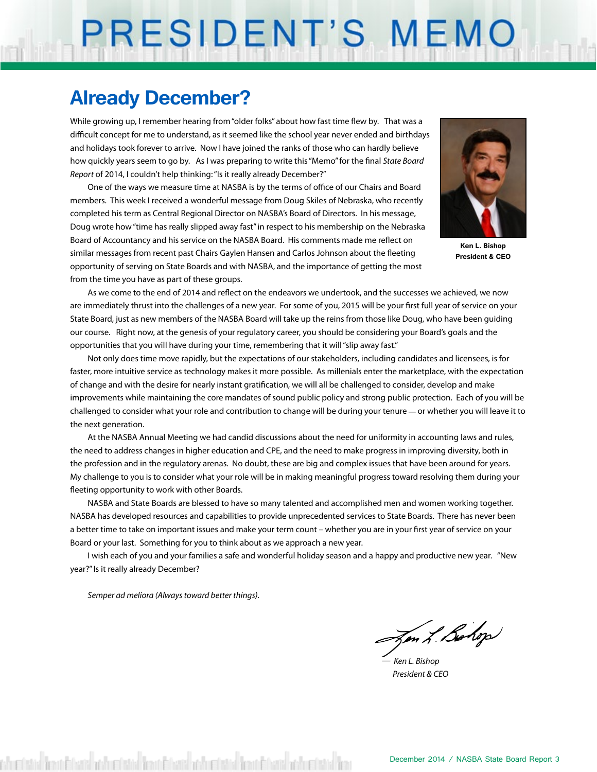# PRESIDENT'S MEMO

## **Already December?**

While growing up, I remember hearing from "older folks" about how fast time flew by. That was a difficult concept for me to understand, as it seemed like the school year never ended and birthdays and holidays took forever to arrive. Now I have joined the ranks of those who can hardly believe how quickly years seem to go by. As I was preparing to write this "Memo" for the final *State Board Report* of 2014, I couldn't help thinking: "Is it really already December?"

One of the ways we measure time at NASBA is by the terms of office of our Chairs and Board members. This week I received a wonderful message from Doug Skiles of Nebraska, who recently completed his term as Central Regional Director on NASBA's Board of Directors. In his message, Doug wrote how "time has really slipped away fast" in respect to his membership on the Nebraska Board of Accountancy and his service on the NASBA Board. His comments made me reflect on similar messages from recent past Chairs Gaylen Hansen and Carlos Johnson about the fleeting opportunity of serving on State Boards and with NASBA, and the importance of getting the most from the time you have as part of these groups.



**Ken L. Bishop President & CEO**

As we come to the end of 2014 and reflect on the endeavors we undertook, and the successes we achieved, we now are immediately thrust into the challenges of a new year. For some of you, 2015 will be your first full year of service on your State Board, just as new members of the NASBA Board will take up the reins from those like Doug, who have been guiding our course. Right now, at the genesis of your regulatory career, you should be considering your Board's goals and the opportunities that you will have during your time, remembering that it will "slip away fast."

Not only does time move rapidly, but the expectations of our stakeholders, including candidates and licensees, is for faster, more intuitive service as technology makes it more possible. As millenials enter the marketplace, with the expectation of change and with the desire for nearly instant gratification, we will all be challenged to consider, develop and make improvements while maintaining the core mandates of sound public policy and strong public protection. Each of you will be challenged to consider what your role and contribution to change will be during your tenure **—** or whether you will leave it to the next generation.

At the NASBA Annual Meeting we had candid discussions about the need for uniformity in accounting laws and rules, the need to address changes in higher education and CPE, and the need to make progress in improving diversity, both in the profession and in the regulatory arenas. No doubt, these are big and complex issues that have been around for years. My challenge to you is to consider what your role will be in making meaningful progress toward resolving them during your fleeting opportunity to work with other Boards.

NASBA and State Boards are blessed to have so many talented and accomplished men and women working together. NASBA has developed resources and capabilities to provide unprecedented services to State Boards. There has never been a better time to take on important issues and make your term count – whether you are in your first year of service on your Board or your last. Something for you to think about as we approach a new year.

I wish each of you and your families a safe and wonderful holiday season and a happy and productive new year. "New year?" Is it really already December?

*Semper ad meliora (Always toward better things).*

en L. Bohop

*— Ken L. Bishop President & CEO*

eristischen Eberiche behalden Eberiche behalden Eberichen ach eristische